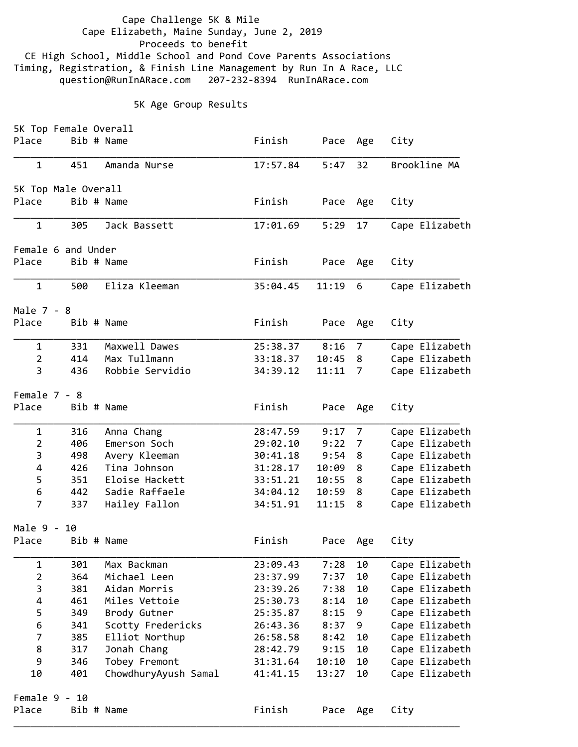Cape Challenge 5K & Mile Cape Elizabeth, Maine Sunday, June 2, 2019 Proceeds to benefit CE High School, Middle School and Pond Cove Parents Associations Timing, Registration, & Finish Line Management by Run In A Race, LLC question@RunInARace.com 207‐232‐8394 RunInARace.com

## 5K Age Group Results

|                | 5K Top Female Overall |                      |          |          |                |                |
|----------------|-----------------------|----------------------|----------|----------|----------------|----------------|
| Place          | Bib # Name            |                      | Finish   | Pace     | Age            | City           |
| $\mathbf{1}$   | 451                   | Amanda Nurse         | 17:57.84 | 5:47     | 32             | Brookline MA   |
|                | 5K Top Male Overall   |                      |          |          |                |                |
| Place          | Bib # Name            |                      | Finish   | Pace     | Age            | City           |
| $\mathbf{1}$   | 305                   | Jack Bassett         | 17:01.69 | 5:29     | 17             | Cape Elizabeth |
|                | Female 6 and Under    |                      |          |          |                |                |
| Place          | Bib # Name            |                      | Finish   | Pace     | Age            | City           |
| $\mathbf{1}$   | 500                   | Eliza Kleeman        | 35:04.45 | 11:19    | 6              | Cape Elizabeth |
| Male 7 - 8     |                       |                      |          |          |                |                |
| Place          | Bib # Name            |                      | Finish   | Pace     | Age            | City           |
| $\mathbf{1}$   | 331                   | Maxwell Dawes        | 25:38.37 | 8:16     | 7              | Cape Elizabeth |
| $\overline{2}$ | 414                   | Max Tullmann         | 33:18.37 | 10:45    | 8              | Cape Elizabeth |
| 3              | 436                   | Robbie Servidio      | 34:39.12 | 11:11    | $\overline{7}$ | Cape Elizabeth |
| Female 7 - 8   |                       |                      |          |          |                |                |
| Place          | Bib # Name            |                      | Finish   | Pace     | Age            | City           |
| $\mathbf 1$    | 316                   | Anna Chang           | 28:47.59 | 9:17     | 7              | Cape Elizabeth |
| $\overline{2}$ | 406                   | Emerson Soch         | 29:02.10 | 9:22     | 7              | Cape Elizabeth |
| 3              | 498                   | Avery Kleeman        | 30:41.18 | 9:54     | 8              | Cape Elizabeth |
| 4              | 426                   | Tina Johnson         | 31:28.17 | 10:09    | 8              | Cape Elizabeth |
| 5              | 351                   | Eloise Hackett       | 33:51.21 | 10:55    | 8              | Cape Elizabeth |
| 6              | 442                   | Sadie Raffaele       | 34:04.12 | 10:59    | 8              | Cape Elizabeth |
| $\overline{7}$ | 337                   | Hailey Fallon        | 34:51.91 | 11:15    | 8              | Cape Elizabeth |
| Male 9 -       | 10                    |                      |          |          |                |                |
| Place          | Bib # Name            |                      | Finish   | Pace     | Age            | City           |
| $\mathbf 1$    | 301                   | Max Backman          | 23:09.43 | 7:28     | 10             | Cape Elizabeth |
| $\overline{2}$ | 364                   | Michael Leen         | 23:37.99 | 7:37     | 10             | Cape Elizabeth |
| $\mathbf{3}$   | 381                   | Aidan Morris         | 23:39.26 | 7:38     | 10             | Cape Elizabeth |
| 4              | 461                   | Miles Vettoie        | 25:30.73 | 8:14     | 10             | Cape Elizabeth |
| 5              | 349                   | Brody Gutner         | 25:35.87 | 8:15     | 9              | Cape Elizabeth |
| 6              | 341                   | Scotty Fredericks    | 26:43.36 | 8:37     | 9              | Cape Elizabeth |
| $\overline{7}$ | 385                   | Elliot Northup       | 26:58.58 | 8:42     | 10             | Cape Elizabeth |
| 8              | 317                   | Jonah Chang          | 28:42.79 | 9:15     | 10             | Cape Elizabeth |
| 9              | 346                   | Tobey Fremont        | 31:31.64 | 10:10    | 10             | Cape Elizabeth |
| 10             | 401                   | ChowdhuryAyush Samal | 41:41.15 | 13:27    | 10             | Cape Elizabeth |
|                | Female 9 - 10         |                      |          |          |                |                |
| Place          | Bib # Name            |                      | Finish   | Pace Age |                | City           |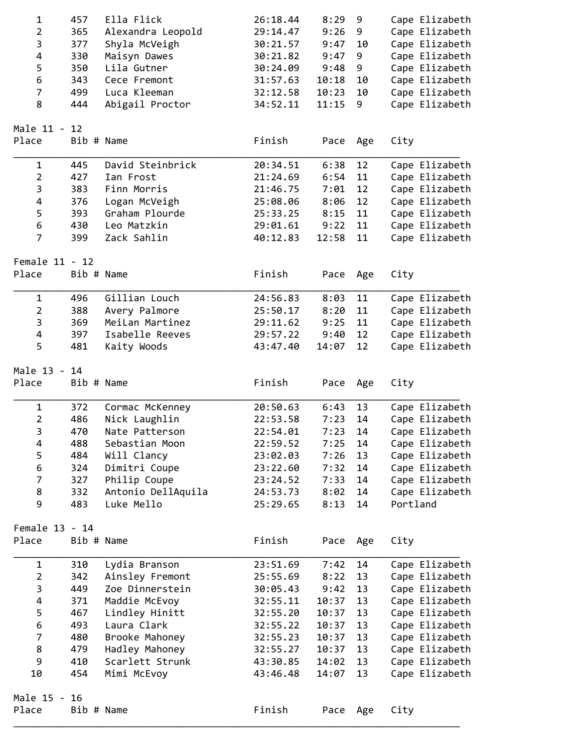| $\mathbf 1$      | 457        | Ella Flick         | 26:18.44 | 8:29  | 9   | Cape Elizabeth |
|------------------|------------|--------------------|----------|-------|-----|----------------|
| $\overline{2}$   | 365        | Alexandra Leopold  | 29:14.47 | 9:26  | 9   | Cape Elizabeth |
| 3                | 377        | Shyla McVeigh      | 30:21.57 | 9:47  | 10  | Cape Elizabeth |
| 4                | 330        | Maisyn Dawes       | 30:21.82 | 9:47  | 9   | Cape Elizabeth |
| 5                | 350        | Lila Gutner        | 30:24.09 | 9:48  | 9   | Cape Elizabeth |
| 6                | 343        | Cece Fremont       | 31:57.63 | 10:18 | 10  | Cape Elizabeth |
| $\overline{7}$   | 499        | Luca Kleeman       | 32:12.58 | 10:23 | 10  | Cape Elizabeth |
| 8                | 444        | Abigail Proctor    | 34:52.11 | 11:15 | 9   | Cape Elizabeth |
|                  |            |                    |          |       |     |                |
| Male 11 - 12     |            |                    |          |       |     |                |
| Place            | Bib # Name |                    | Finish   | Pace  | Age | City           |
| $\mathbf{1}$     | 445        | David Steinbrick   | 20:34.51 | 6:38  | 12  | Cape Elizabeth |
| $\overline{2}$   | 427        | Ian Frost          | 21:24.69 | 6:54  | 11  | Cape Elizabeth |
| 3                | 383        | Finn Morris        | 21:46.75 | 7:01  | 12  | Cape Elizabeth |
| 4                | 376        | Logan McVeigh      | 25:08.06 | 8:06  | 12  | Cape Elizabeth |
| 5                | 393        | Graham Plourde     | 25:33.25 | 8:15  | 11  | Cape Elizabeth |
| 6                | 430        | Leo Matzkin        | 29:01.61 | 9:22  | 11  | Cape Elizabeth |
| $\overline{7}$   | 399        | Zack Sahlin        | 40:12.83 | 12:58 | 11  | Cape Elizabeth |
|                  |            |                    |          |       |     |                |
| Female 11 - 12   |            |                    |          |       |     |                |
| Place            | Bib # Name |                    | Finish   | Pace  | Age | City           |
| $\mathbf 1$      | 496        | Gillian Louch      | 24:56.83 | 8:03  | 11  | Cape Elizabeth |
| $\overline{2}$   | 388        | Avery Palmore      | 25:50.17 | 8:20  | 11  | Cape Elizabeth |
| $\mathbf{3}$     | 369        | MeiLan Martinez    | 29:11.62 | 9:25  | 11  | Cape Elizabeth |
| 4                | 397        | Isabelle Reeves    | 29:57.22 | 9:40  | 12  | Cape Elizabeth |
| 5                | 481        | Kaity Woods        | 43:47.40 | 14:07 | 12  | Cape Elizabeth |
| Male 13 - 14     |            |                    |          |       |     |                |
| Place            | Bib # Name |                    | Finish   | Pace  | Age | City           |
|                  |            |                    |          |       |     |                |
| $\mathbf 1$      | 372        | Cormac McKenney    | 20:50.63 | 6:43  | 13  | Cape Elizabeth |
| $\mathbf 2$      | 486        | Nick Laughlin      | 22:53.58 | 7:23  | 14  | Cape Elizabeth |
| 3                | 470        | Nate Patterson     | 22:54.01 | 7:23  | 14  | Cape Elizabeth |
| 4                | 488        | Sebastian Moon     | 22:59.52 | 7:25  | 14  | Cape Elizabeth |
| 5                | 484        | Will Clancy        | 23:02.03 | 7:26  | 13  | Cape Elizabeth |
| 6                | 324        | Dimitri Coupe      | 23:22.60 | 7:32  | 14  | Cape Elizabeth |
| $\overline{7}$   | 327        | Philip Coupe       | 23:24.52 | 7:33  | 14  | Cape Elizabeth |
| 8                | 332        | Antonio DellAquila | 24:53.73 | 8:02  | 14  | Cape Elizabeth |
| 9                | 483        | Luke Mello         | 25:29.65 | 8:13  | 14  | Portland       |
| Female 13 - 14   |            |                    |          |       |     |                |
| Place            | Bib # Name |                    | Finish   | Pace  | Age | City           |
|                  |            |                    |          |       |     |                |
| $\mathbf{1}$     | 310        | Lydia Branson      | 23:51.69 | 7:42  | 14  | Cape Elizabeth |
| $\overline{2}$   | 342        | Ainsley Fremont    | 25:55.69 | 8:22  | 13  | Cape Elizabeth |
| $\mathsf{3}$     | 449        | Zoe Dinnerstein    | 30:05.43 | 9:42  | 13  | Cape Elizabeth |
| 4                | 371        | Maddie McEvoy      | 32:55.11 | 10:37 | 13  | Cape Elizabeth |
| 5                | 467        | Lindley Hinitt     | 32:55.20 | 10:37 | 13  | Cape Elizabeth |
| $\boldsymbol{6}$ | 493        | Laura Clark        | 32:55.22 | 10:37 | 13  | Cape Elizabeth |
| $\overline{7}$   | 480        | Brooke Mahoney     | 32:55.23 | 10:37 | 13  | Cape Elizabeth |
| 8                | 479        | Hadley Mahoney     | 32:55.27 | 10:37 | 13  | Cape Elizabeth |
| 9                | 410        | Scarlett Strunk    | 43:30.85 | 14:02 | 13  | Cape Elizabeth |
| 10               | 454        | Mimi McEvoy        | 43:46.48 | 14:07 | 13  | Cape Elizabeth |
| Male 15 - 16     |            |                    |          |       |     |                |
| Place            | Bib # Name |                    | Finish   | Pace  | Age | City           |
|                  |            |                    |          |       |     |                |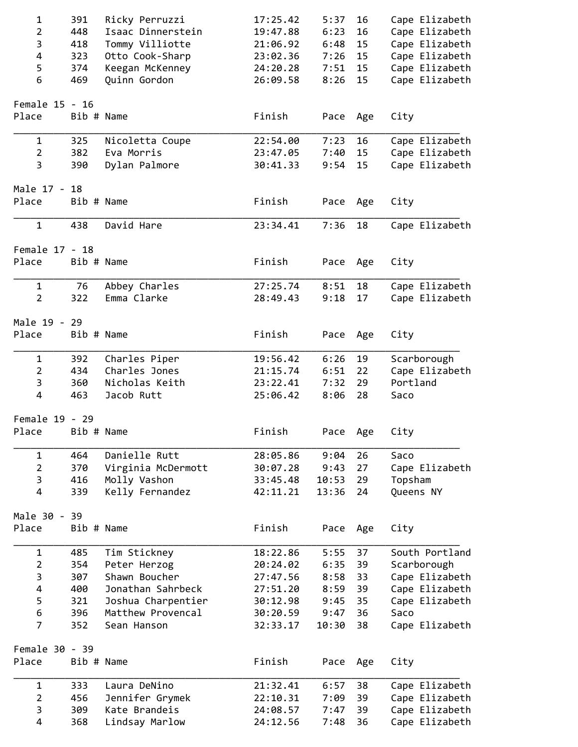| 1              | 391        | Ricky Perruzzi     | 17:25.42 | 5:37  | 16  | Cape Elizabeth |
|----------------|------------|--------------------|----------|-------|-----|----------------|
| $\overline{2}$ | 448        | Isaac Dinnerstein  | 19:47.88 | 6:23  | 16  | Cape Elizabeth |
| 3              | 418        | Tommy Villiotte    | 21:06.92 | 6:48  | 15  | Cape Elizabeth |
| $\overline{4}$ | 323        | Otto Cook-Sharp    | 23:02.36 | 7:26  | 15  | Cape Elizabeth |
| 5              | 374        | Keegan McKenney    | 24:20.28 | 7:51  | 15  | Cape Elizabeth |
| 6              | 469        | Quinn Gordon       | 26:09.58 | 8:26  | 15  | Cape Elizabeth |
|                |            |                    |          |       |     |                |
| Female 15 - 16 |            |                    |          |       |     |                |
| Place          | Bib # Name |                    | Finish   | Pace  | Age | City           |
| 1              | 325        | Nicoletta Coupe    | 22:54.00 | 7:23  | 16  | Cape Elizabeth |
| $\overline{2}$ | 382        | Eva Morris         | 23:47.05 | 7:40  | 15  | Cape Elizabeth |
| 3              | 390        | Dylan Palmore      | 30:41.33 | 9:54  | 15  | Cape Elizabeth |
| Male 17 - 18   |            |                    |          |       |     |                |
| Place          | Bib # Name |                    | Finish   | Pace  | Age | City           |
|                |            |                    |          |       |     |                |
| $\mathbf{1}$   | 438        | David Hare         | 23:34.41 | 7:36  | 18  | Cape Elizabeth |
| Female 17 - 18 |            |                    |          |       |     |                |
| Place          | Bib # Name |                    | Finish   | Pace  | Age | City           |
| $\mathbf{1}$   | 76         | Abbey Charles      | 27:25.74 | 8:51  | 18  | Cape Elizabeth |
| $\overline{2}$ | 322        | Emma Clarke        | 28:49.43 | 9:18  | 17  | Cape Elizabeth |
|                |            |                    |          |       |     |                |
| Male 19 - 29   |            |                    |          |       |     |                |
| Place          | Bib # Name |                    | Finish   | Pace  | Age | City           |
| 1              | 392        | Charles Piper      | 19:56.42 | 6:26  | 19  | Scarborough    |
| $\overline{2}$ | 434        | Charles Jones      | 21:15.74 | 6:51  | 22  | Cape Elizabeth |
| 3              | 360        | Nicholas Keith     | 23:22.41 | 7:32  | 29  | Portland       |
| 4              | 463        | Jacob Rutt         | 25:06.42 | 8:06  | 28  | Saco           |
|                |            |                    |          |       |     |                |
| Female 19 - 29 |            |                    |          |       |     |                |
| Place          | Bib # Name |                    | Finish   | Pace  | Age | City           |
| 1              | 464        | Danielle Rutt      | 28:05.86 | 9:04  | 26  | Saco           |
| $\overline{2}$ | 370        | Virginia McDermott | 30:07.28 | 9:43  | 27  | Cape Elizabeth |
| 3              | 416        | Molly Vashon       | 33:45.48 | 10:53 | 29  | Topsham        |
| 4              | 339        | Kelly Fernandez    | 42:11.21 | 13:36 | 24  | Queens NY      |
| Male 30 - 39   |            |                    |          |       |     |                |
| Place          | Bib # Name |                    | Finish   | Pace  | Age | City           |
|                |            |                    |          |       |     |                |
| $\mathbf 1$    | 485        | Tim Stickney       | 18:22.86 | 5:55  | 37  | South Portland |
| $\overline{2}$ | 354        | Peter Herzog       | 20:24.02 | 6:35  | 39  | Scarborough    |
| 3              | 307        | Shawn Boucher      | 27:47.56 | 8:58  | 33  | Cape Elizabeth |
| 4              | 400        | Jonathan Sahrbeck  | 27:51.20 | 8:59  | 39  | Cape Elizabeth |
| 5              | 321        | Joshua Charpentier | 30:12.98 | 9:45  | 35  | Cape Elizabeth |
| 6              | 396        | Matthew Provencal  | 30:20.59 | 9:47  | 36  | Saco           |
| 7              | 352        | Sean Hanson        | 32:33.17 | 10:30 | 38  | Cape Elizabeth |
| Female 30 - 39 |            |                    |          |       |     |                |
| Place          | Bib # Name |                    | Finish   | Pace  | Age | City           |
|                |            |                    |          |       |     |                |
| $\mathbf 1$    | 333        | Laura DeNino       | 21:32.41 | 6:57  | 38  | Cape Elizabeth |
| $\overline{2}$ | 456        | Jennifer Grymek    | 22:10.31 | 7:09  | 39  | Cape Elizabeth |
| 3              | 309        | Kate Brandeis      | 24:08.57 | 7:47  | 39  | Cape Elizabeth |
| 4              | 368        | Lindsay Marlow     | 24:12.56 | 7:48  | 36  | Cape Elizabeth |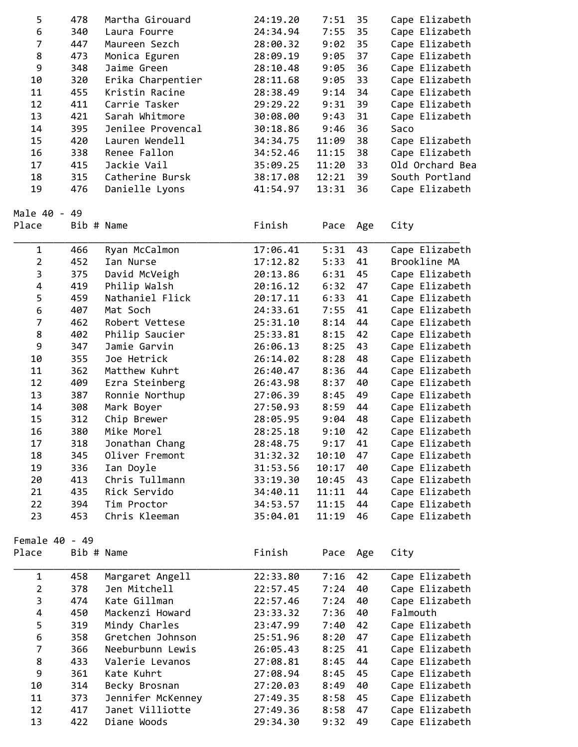| 5                       | 478        | Martha Girouard   | 24:19.20 | 7:51  | 35  | Cape Elizabeth  |
|-------------------------|------------|-------------------|----------|-------|-----|-----------------|
| $\boldsymbol{6}$        | 340        | Laura Fourre      | 24:34.94 | 7:55  | 35  | Cape Elizabeth  |
| $\overline{7}$          | 447        | Maureen Sezch     | 28:00.32 | 9:02  | 35  | Cape Elizabeth  |
| 8                       | 473        | Monica Eguren     | 28:09.19 | 9:05  | 37  | Cape Elizabeth  |
| 9                       | 348        | Jaime Green       | 28:10.48 | 9:05  | 36  | Cape Elizabeth  |
| 10                      | 320        | Erika Charpentier | 28:11.68 | 9:05  | 33  | Cape Elizabeth  |
| 11                      | 455        | Kristin Racine    | 28:38.49 | 9:14  | 34  | Cape Elizabeth  |
| 12                      | 411        | Carrie Tasker     | 29:29.22 | 9:31  | 39  | Cape Elizabeth  |
| 13                      | 421        | Sarah Whitmore    | 30:08.00 | 9:43  | 31  | Cape Elizabeth  |
| 14                      | 395        | Jenilee Provencal | 30:18.86 | 9:46  | 36  | Saco            |
| 15                      | 420        | Lauren Wendell    | 34:34.75 | 11:09 | 38  | Cape Elizabeth  |
| 16                      | 338        | Renee Fallon      | 34:52.46 | 11:15 | 38  | Cape Elizabeth  |
| 17                      | 415        | Jackie Vail       | 35:09.25 | 11:20 | 33  | Old Orchard Bea |
| 18                      | 315        | Catherine Bursk   | 38:17.08 | 12:21 | 39  | South Portland  |
| 19                      | 476        | Danielle Lyons    | 41:54.97 | 13:31 | 36  | Cape Elizabeth  |
|                         |            |                   |          |       |     |                 |
| Male 40 - 49            |            |                   |          |       |     |                 |
| Place                   | Bib # Name |                   | Finish   | Pace  | Age | City            |
|                         |            |                   |          |       |     |                 |
| $\mathbf 1$             | 466        | Ryan McCalmon     | 17:06.41 | 5:31  | 43  | Cape Elizabeth  |
| $\overline{2}$          | 452        | Ian Nurse         | 17:12.82 | 5:33  | 41  | Brookline MA    |
| 3                       | 375        | David McVeigh     | 20:13.86 | 6:31  | 45  | Cape Elizabeth  |
| $\overline{\mathbf{4}}$ | 419        | Philip Walsh      | 20:16.12 | 6:32  | 47  | Cape Elizabeth  |
| 5                       | 459        | Nathaniel Flick   | 20:17.11 | 6:33  | 41  | Cape Elizabeth  |
| $\boldsymbol{6}$        | 407        | Mat Soch          | 24:33.61 | 7:55  | 41  | Cape Elizabeth  |
| $\overline{7}$          | 462        | Robert Vettese    | 25:31.10 | 8:14  | 44  | Cape Elizabeth  |
| 8                       | 402        | Philip Saucier    | 25:33.81 | 8:15  | 42  | Cape Elizabeth  |
| 9                       | 347        | Jamie Garvin      | 26:06.13 | 8:25  | 43  | Cape Elizabeth  |
| 10                      | 355        | Joe Hetrick       | 26:14.02 | 8:28  | 48  | Cape Elizabeth  |
| 11                      | 362        | Matthew Kuhrt     | 26:40.47 | 8:36  | 44  | Cape Elizabeth  |
| 12                      | 409        | Ezra Steinberg    | 26:43.98 | 8:37  | 40  | Cape Elizabeth  |
| 13                      | 387        | Ronnie Northup    | 27:06.39 | 8:45  | 49  | Cape Elizabeth  |
| 14                      | 308        | Mark Boyer        | 27:50.93 | 8:59  | 44  | Cape Elizabeth  |
| 15                      | 312        | Chip Brewer       | 28:05.95 | 9:04  | 48  | Cape Elizabeth  |
| 16                      | 380        | Mike Morel        | 28:25.18 | 9:10  | 42  | Cape Elizabeth  |
| 17                      | 318        | Jonathan Chang    | 28:48.75 | 9:17  | 41  | Cape Elizabeth  |
| 18                      | 345        | Oliver Fremont    | 31:32.32 | 10:10 | 47  | Cape Elizabeth  |
| 19                      | 336        | Ian Doyle         | 31:53.56 | 10:17 | 40  | Cape Elizabeth  |
| 20                      | 413        | Chris Tullmann    | 33:19.30 | 10:45 | 43  | Cape Elizabeth  |
| 21                      | 435        | Rick Servido      | 34:40.11 | 11:11 | 44  | Cape Elizabeth  |
| 22                      | 394        | Tim Proctor       | 34:53.57 | 11:15 | 44  | Cape Elizabeth  |
| 23                      | 453        | Chris Kleeman     | 35:04.01 | 11:19 | 46  | Cape Elizabeth  |
|                         |            |                   |          |       |     |                 |
| Female 40 - 49          |            |                   |          |       |     |                 |
| Place                   | Bib # Name |                   | Finish   | Pace  | Age | City            |
|                         |            |                   |          |       |     |                 |
| 1                       | 458        | Margaret Angell   | 22:33.80 | 7:16  | 42  | Cape Elizabeth  |
| $\overline{2}$          | 378        | Jen Mitchell      | 22:57.45 | 7:24  | 40  | Cape Elizabeth  |
| 3                       | 474        | Kate Gillman      | 22:57.46 | 7:24  | 40  | Cape Elizabeth  |
| 4                       | 450        | Mackenzi Howard   | 23:33.32 | 7:36  | 40  | Falmouth        |
| 5                       | 319        | Mindy Charles     | 23:47.99 | 7:40  | 42  | Cape Elizabeth  |
| $\boldsymbol{6}$        | 358        | Gretchen Johnson  | 25:51.96 | 8:20  | 47  | Cape Elizabeth  |
| $\overline{7}$          | 366        | Neeburbunn Lewis  | 26:05.43 | 8:25  | 41  | Cape Elizabeth  |
| 8                       | 433        | Valerie Levanos   | 27:08.81 | 8:45  | 44  | Cape Elizabeth  |
| 9                       | 361        | Kate Kuhrt        | 27:08.94 | 8:45  | 45  | Cape Elizabeth  |
| 10                      | 314        | Becky Brosnan     | 27:20.03 | 8:49  | 40  | Cape Elizabeth  |
| 11                      | 373        | Jennifer McKenney | 27:49.35 | 8:58  | 45  | Cape Elizabeth  |
| 12                      | 417        | Janet Villiotte   | 27:49.36 | 8:58  | 47  | Cape Elizabeth  |
| 13                      | 422        | Diane Woods       | 29:34.30 | 9:32  | 49  | Cape Elizabeth  |